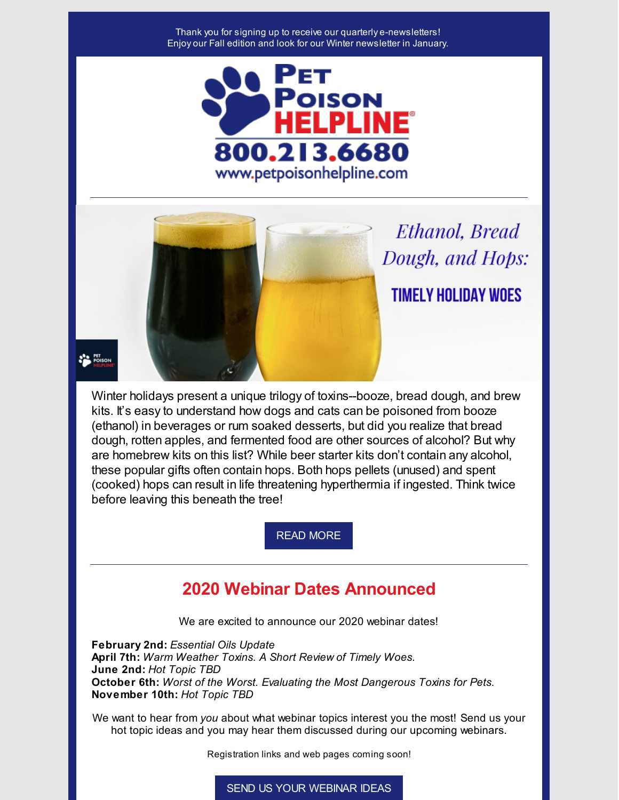#### Thank you for signing up to receive our quarterly e-newsletters! Enjoy our Fall edition and look for our Winter newsletter in January.



Ethanol, Bread Dough, and Hops: **TIMELY HOLIDAY WOES** 

PET POISON

Winter holidays present a unique trilogy of toxins--booze, bread dough, and brew kits. It's easy to understand how dogs and cats can be poisoned from booze (ethanol) in beverages or rum soaked desserts, but did you realize that bread dough, rotten apples, and fermented food are other sources of alcohol? But why are homebrew kits on this list? While beer starter kits don't contain any alcohol, these popular gifts often contain hops. Both hops pellets (unused) and spent (cooked) hops can result in life threatening hyperthermia if ingested. Think twice before leaving this beneath the tree!

READ [MORE](https://files.constantcontact.com/0927d35e501/59370450-8d12-492f-b752-3f33896baa7d.pdf)

# **2020 Webinar Dates Announced**

We are excited to announce our 2020 webinar dates!

**February 2nd:** *Essential Oils Update* **April 7th:** *Warm Weather Toxins. A Short Review of Timely Woes.* **June 2nd:** *Hot Topic TBD* **October 6th:** *Worst of the Worst. Evaluating the Most Dangerous Toxins for Pets.* **November 10th:** *Hot Topic TBD*

We want to hear from *you* about what webinar topics interest you the most! Send us your hot topic ideas and you may hear them discussed during our upcoming webinars.

Registration links and web pages coming soon!

SEND US YOUR [WEBINAR](mailto:info@petpoisonhelpline.com) IDEAS